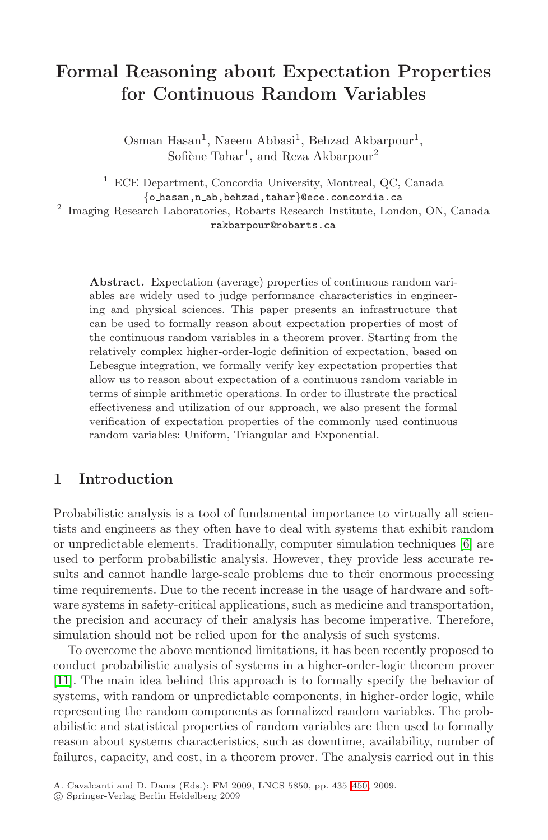# **Formal Reasoning about Expectation Properties for Continuous Random Variables**

Osman Hasan<sup>1</sup>, Naeem Abbasi<sup>1</sup>, Behzad Akbarpour<sup>1</sup>, Sofiène Tahar<sup>1</sup>, and Reza Akbarpour<sup>2</sup>

<sup>1</sup> ECE Department, Concordia University, Montreal, QC, Canada {o hasan,n ab,behzad,tahar}@ece.concordia.ca <sup>2</sup> Imaging Research Laboratories, Robarts Research Institute, London, ON, Canada rakbarpour@robarts.ca

**Abstract.** Expectation (average) properties of continuous random variables are widely used to judge performance characteristics in engineering and physical sciences. This paper presents an infrastructure that can be used to formally reason about expectation properties of most of the continuous random variables in a theorem prover. Starting from the relatively complex higher-order-logic definition of expectation, based on Lebesgue integration, we formally verify key expectation properties that allow us to reason about expectation of a continuous random variable in terms of simple arithmetic operations. In order to illustrate the practical effectiveness and utilization of our approach, we also present the formal verification of expectation properties of the commo[nly](#page-15-0) used continuous random variables: Uniform, Triangular and Exponential.

# **1 Introduction**

Probabilistic analysis is a tool of fundamental importance to virtually all scientists and engineers as they often have to deal with systems that exhibit random or unpredictable elements. Traditionally, computer simulation techniques [6] are used to perform probabilistic analysis. However, they provide less accurate results and cannot handle large-scale problems due to their enormous processing time requirements. Due to the recent increase in the usage of hardware and software systems in safety-critical applications, such as medicine and transportation, the precision and accuracy of their analysis has become imperative. Therefore, simulation should not be relied upon for the analysis of such systems.

To overcome the above mentioned limitations, it has been recently proposed to conduct probabilistic analysis of s[ystem](#page-15-1)s in a higher-order-logic theorem prover [11]. The main idea behind this approach is to formally specify the behavior of systems, with random or unpredictable components, in higher-order logic, while representing the random components as formalized random variables. The probabilistic and statistical properties of random variables are then used to formally reason about systems characteristics, such as downtime, availability, number of failures, capacity, and cost, in a theorem prover. The analysis carried out in this

A. Cavalcanti and D. Dams (Eds.): FM 2009, LNCS 5850, pp. 435–450, 2009.

<sup>-</sup>c Springer-Verlag Berlin Heidelberg 2009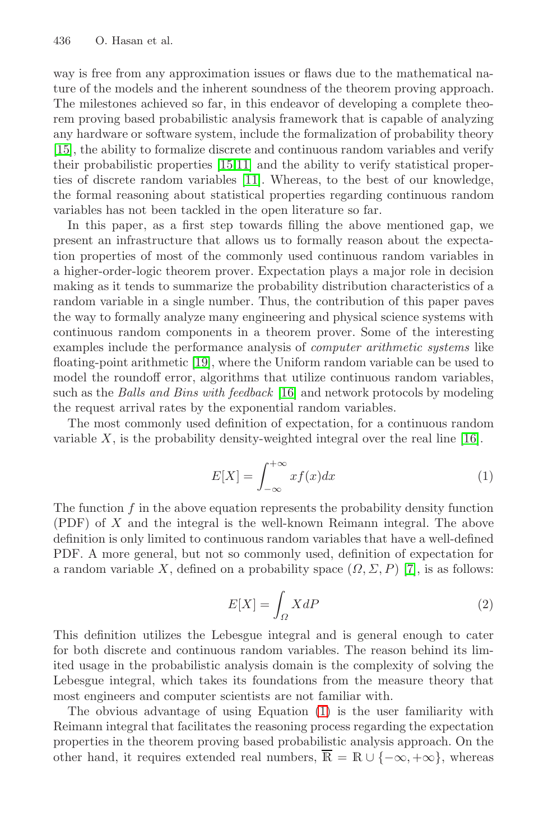way is free fro[m](#page-15-3) [an](#page-15-3)y approximation issues or flaws due to the mathematical nature of the models and the inherent soundness of the theorem proving approach. The milestones achieved so far, in this endeavor of developing a complete theorem proving based probabilistic analysis framework that is capable of analyzing any hardware or software system, include the formalization of probability theory [15], the ability to formalize discrete and continuous random variables and verify their probabilistic properties [15,11] and the ability to verify statistical properties of discrete random variables [11]. Whereas, to the best of our knowledge, the formal reasoning about statistical properties regarding continuous random variables has not been tackled in the open literature so far.

In this paper, as a first step towards filling the above mentioned gap, we prese[nt a](#page-15-4)n infrastructure that allows us to formally reason about the expectation properties of most of the commonly used continuous random variables in a higher-order-logic t[heor](#page-15-5)em prover. Expectation plays a major role in decision making as it tends to summarize the probability distribution characteristics of a random variable in a single number. Thus, the contribution of this paper paves the way to formally analyze many engineering and phy[sica](#page-15-5)l science systems with continuous random components in a theorem prover. Some of the interesting examples include the performance analysis of *computer arithmetic systems* like floating-point arithmetic [19], where the Uniform random variable can be used to model the roundoff error, algorithms that utilize continuous random variables, such as the *Balls and Bins with feedback* [16] and network protocols by modeling the request arrival rates by the exponential random variables.

<span id="page-1-0"></span>The most commonly used definition of expectation, for a continuous random variable  $X$ , is the probability density-weighted integral over the real line [16].

$$
E[X] = \int_{-\infty}^{+\infty} x f(x) dx \tag{1}
$$

The function  $f$  in the above equation represents the probability density function (PDF) of X and the integral is the well-known Reimann integral. The above definition is only limited to continuous random variables that have a well-defined PDF. A more general, but not so commonly used, definition of expectation for a random variable X, defined on a probability space  $(\Omega, \Sigma, P)$  [7], is as follows:

$$
E[X] = \int_{\Omega} XdP \tag{2}
$$

This definition utilizes the Lebesgue integral and is general enough to cater for both discrete and continuous random variables. The reason behind its limited usage in the probabilistic analysis domain is the complexity of solving the Lebesgue integral, which takes its foundations from the measure theory that most engineers and computer scientists are not familiar with.

The obvious advantage of using Equation (1) is the user familiarity with Reimann integral that facilitates the reasoning process regarding the expectation properties in the theorem proving based probabilistic analysis approach. On the other hand, it requires extended real numbers,  $\overline{\mathbb{R}} = \mathbb{R} \cup \{-\infty, +\infty\}$ , whereas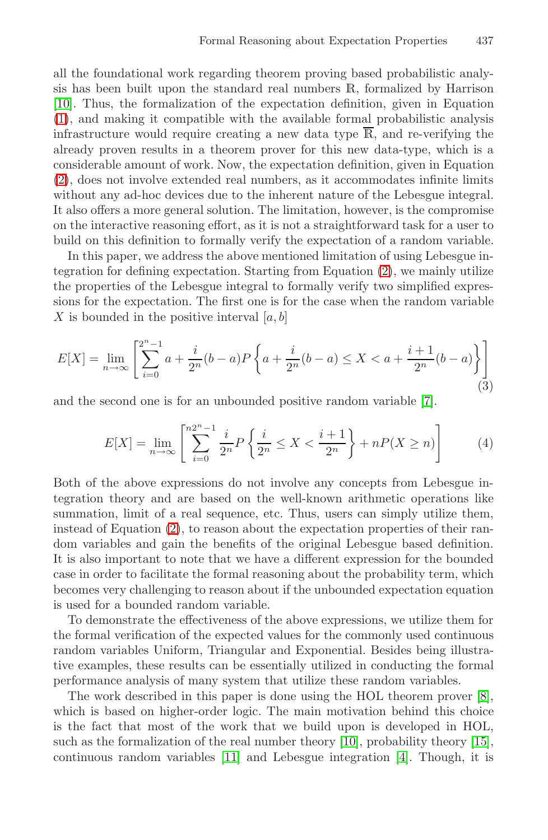all the foundational work regarding theorem proving based probabilistic analysis has been built upon the standard real numbers R, formalized by Harrison [10]. Thus, the formalization of the expectation definition, given in Equation (1), and making it compatible with the available formal probabilistic analysis infrastructure would require creating a new data type  $\overline{\mathbb{R}}$ , and re-verifying the already proven results in a theorem pr[ov](#page-1-0)er for this new data-type, which is a considerable amount of work. Now, the expectation definition, given in Equation (2), does not involve extended real numbers, as it accommodates infinite limits without any ad-hoc devices due to the inherent nature of the Lebesgue integral. It also offers a more general solution. The limitation, however, is the compromise on the interactive reasoning effort, as it is not a straightforward task for a user to build on this definition to formally verify the expectation of a random variable.

<span id="page-2-1"></span><span id="page-2-0"></span>In this paper, we address the above mentioned limitation of using Lebesgue integration for defining expectation. Starting from Equation (2), we mainly utilize the properties of the Lebesgue integral to form[all](#page-15-6)y verify two simplified expressions for the expectation. The first one is for the case when the random variable  $X$  is bounded in the positive interval  $[a, b]$ 

$$
E[X] = \lim_{n \to \infty} \left[ \sum_{i=0}^{2^n - 1} a + \frac{i}{2^n} (b - a) P \left\{ a + \frac{i}{2^n} (b - a) \le X < a + \frac{i + 1}{2^n} (b - a) \right\} \right] \tag{3}
$$

a[nd](#page-1-0) the second one is for an unbounded positive random variable [7].

$$
E[X] = \lim_{n \to \infty} \left[ \sum_{i=0}^{n2^n - 1} \frac{i}{2^n} P\left\{ \frac{i}{2^n} \le X < \frac{i+1}{2^n} \right\} + nP(X \ge n) \right] \tag{4}
$$

Both of the above expressions do not involve any concepts from Lebesgue integration theory and are based on the well-known arithmetic operations like summation, limit of a real sequence, etc. Thus, users can simply utilize them, instead of Equation (2), to reason about the expectation properties of their random variables and gain the benefits of the original Lebesgue based definition. It is also important to note that we have a different expression for the bounded case in order to facilitate the formal reasoning about the p[ro](#page-15-7)bability term, which becomes very challenging to reason about if the unbounded expectation equation is used for a bounded random variable.

To demonstrate the effectiven[ess o](#page-15-8)f the above expressi[ons](#page-15-2), we utilize them for the formal [veri](#page-15-3)fication of the expected valu[es](#page-15-9) for the commonly used continuous random variables Uniform, Triangular and Exponential. Besides being illustrative examples, these results can be essentially utilized in conducting the formal performance analysis of many system that utilize these random variables.

The work described in this paper is done using the HOL theorem prover [8], which is based on higher-order logic. The main motivation behind this choice is the fact that most of the work that we build upon is developed in HOL, such as the formalization of the real number theory [10], probability theory [15], continuous random variables [11] and Lebesgue integration [4]. Though, it is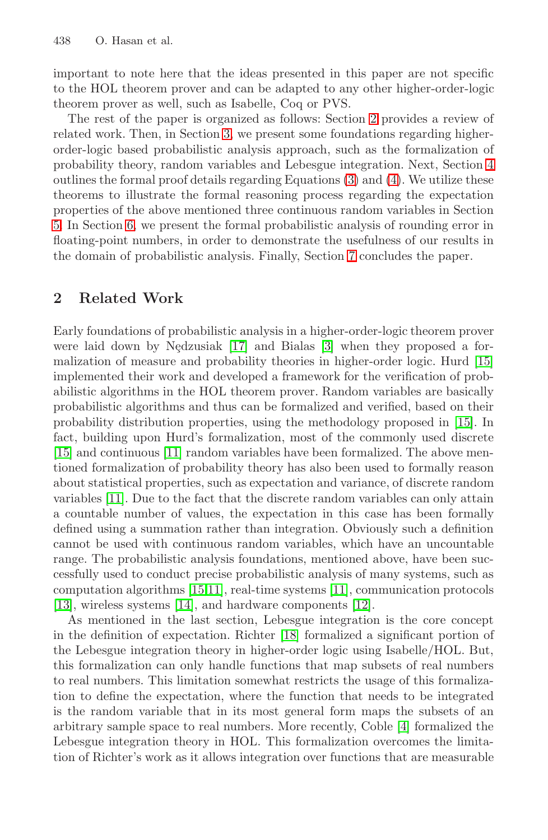important to note here that the [ide](#page-2-0)as p[res](#page-2-1)ented in this paper are not specific to the HOL theorem prover and can be adapted to any other higher-order-logic theorem prover as well, such as Isabelle, Coq or PVS.

The rest of the paper is organized as follows: Section 2 provides a review of related work. Then, in Section 3, [we](#page-14-0) present some foundations regarding higherorder-logic based probabilistic analysis approach, such as the formalization of probability theory, random variables and Lebesgue integration. Next, Section 4 outlines the formal proof details regarding Equations (3) and (4). We utilize these theorems to illustrate the formal reasoning process regarding the expectation properties of the above mentioned three continuous random variables in Section 5. In Section [6,](#page-15-10) we present th[e f](#page-15-11)ormal probabilistic analysis of rounding error in floating-point numbers, in order to demonstrate the usef[ulne](#page-15-2)ss of our results in the domain of probabilistic analysis. Finally, Section 7 concludes the paper.

# **2 Related Work**

[Earl](#page-15-3)y foundations of probabilistic analysis in a higher-order-logic theorem prover were laid down by Nędzusiak  $[17]$  and Bialas  $[3]$  when they proposed a formalization of measure and probability theories in higher-order logic. Hurd [15] implemented their work and developed a framework for the verification of probabilistic algorithms in the HOL theorem prover. Random variables are basically probabilistic algorithms and thus can be formalized and verified, based on their probability distribution properties, using the methodology proposed in [15]. In fact, building upon Hurd's formalization, most of the commonly used discrete [15] and continuous [11] random variables have been formalized. The above mentione[d fo](#page-15-2)[rm](#page-15-3)alization of probabi[lity](#page-15-3) theory has also been used to formally reason ab[out](#page-15-12) statistical properties, such as [exp](#page-15-13)ectation and variance, of discrete random variables [11]. Due to the fact that the discrete random variables can only attain a countable number o[f v](#page-15-14)alues, the expectation in this case has been formally defined using a summation rather than integration. Obviously such a definition cannot be used with continuous random variables, which have an uncountable range. The probabilistic analysis foundations, mentioned above, have been successfully used to conduct precise probabilistic analysis of many systems, such as computation algorithms [15,11], real-time systems [11], communication protocols [13], wireless systems [14], and hardware c[om](#page-15-9)ponents [12].

As mentioned in the last section, Lebesgue integration is the core concept in the definition of expectation. Richter [18] formalized a significant portion of the Lebesgue integration theory in higher-order logic using Isabelle/HOL. But, this formalization can only handle functions that map subsets of real numbers to real numbers. This limitation somewhat restricts the usage of this formalization to define the expectation, where the function that needs to be integrated is the random variable that in its most general form maps the subsets of an arbitrary sample space to real numbers. More recently, Coble [4] formalized the Lebesgue integration theory in HOL. This formalization overcomes the limitation of Richter's work as it allows integration over functions that are measurable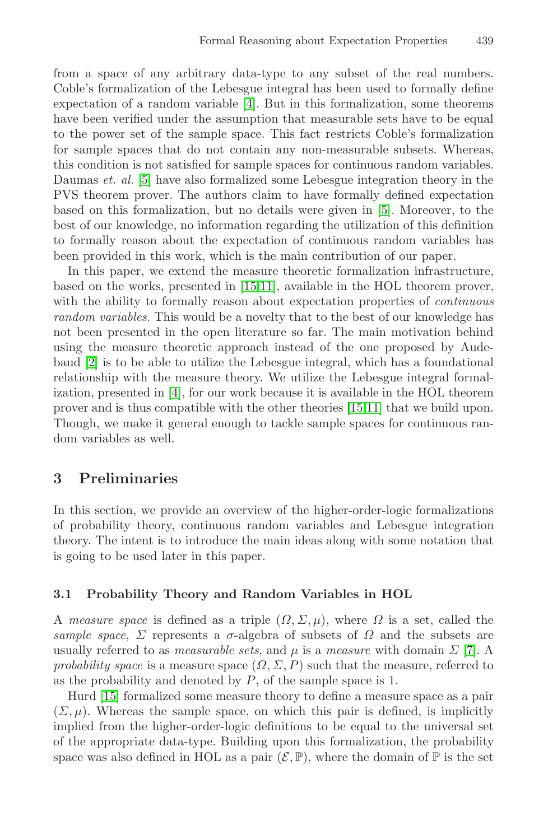from a space of any arbitrary data-type to any subset of the real numbers. Coble's formalization of the Lebesgue i[nte](#page-15-15)gral has been used to formally define expectation of a random variable [4]. But in this formalization, some theorems have been verified under the assumption that measurable sets have to be equal to the power set of the sample space. This fact restricts Coble's formalization for sample spaces that do not contain any non-measurable subsets. Whereas, this condition i[s n](#page-15-2)[ot s](#page-15-3)atisfied for sample spaces for continuous random variables. Daumas *et. al.* [5] have also formalized some Lebesgue integration theory in the PVS theorem prover. The authors claim to have formally defined expectation based on this formalization, but no details were given in [5]. Moreover, to the best of our knowledge, no information regarding the utilization of this definition to formally reason about the expectation of continuous random variables has been provided in this work, which is the main contribution of our paper.

[In](#page-15-9) this paper, we extend the measure theoretic formalization infrastructure, based on the works, presented in [\[15,](#page-15-2)[11\]](#page-15-3), available in the HOL theorem prover, with the ability to formally reason about expectation properties of *continuous random variables*. This would be a novelty that to the best of our knowledge has not been presented in the open literature so far. The main motivation behind using the measure theoretic approach instead of the one proposed by Audebaud [2] is to be able to utilize the Lebesgue integral, which has a foundational relationship with the measure theory. We utilize the Lebesgue integral formalization, presented in [4], for our work because it is available in the HOL theorem prover and is thus compatible with the other theories [15,11] that we build upon. Though, we make it general enough to tackle sample spaces for continuous random variables as well.

# **3 Preliminaries**

In this section, we provide an overview of the higher-order-logic formalizations of probability theory, continuous random variables a[nd](#page-15-6) Lebesgue integration theory. The intent is to introduce the main ideas along with some notation that is going to be used later in this paper.

### **3.1 Probability Theory and Random Variables in HOL**

A *measure space* is defined as a triple  $(\Omega, \Sigma, \mu)$ , where  $\Omega$  is a set, called the *sample space*,  $\Sigma$  represents a  $\sigma$ -algebra of subsets of  $\Omega$  and the subsets are usually referred to as *measurable sets*, and  $\mu$  is a *measure* with domain  $\Sigma$  [7]. A *probability space* is a measure space  $(\Omega, \Sigma, P)$  such that the measure, referred to as the probability and denoted by  $P$ , of the sample space is 1.

Hurd [15] formalized some measure theory to define a measure space as a pair  $(\Sigma, \mu)$ . Whereas the sample space, on which this pair is defined, is implicitly implied from the higher-order-logic definitions to be equal to the universal set of the appropriate data-type. Building upon this formalization, the probability space was also defined in HOL as a pair  $(\mathcal{E}, \mathbb{P})$ , where the domain of  $\mathbb P$  is the set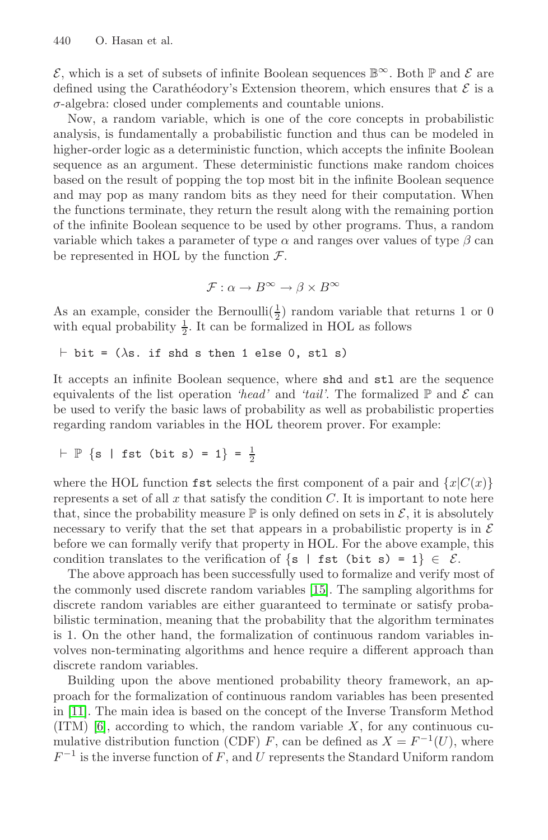$\mathcal E$ , which is a set of subsets of infinite Boolean sequences  $\mathbb B^{\infty}$ . Both  $\mathbb P$  and  $\mathcal E$  are defined using the Carathéodory's Extension theorem, which ensures that  $\mathcal E$  is a  $\sigma$ -algebra: closed under complements and countable unions.

Now, a random variable, which is one of the core concepts in probabilistic analysis, is fundamentally a probabilistic function and thus can be modeled in higher-order logic as a deterministic function, which accepts the infinite Boolean sequence as an argument. These deterministic functions make random choices based on the result of popping the top most bit in the infinite Boolean sequence and may pop as many random bits as they need for their computation. When the functions terminate, they return the result along with the remaining portion of the infinite Boolean sequence to be used by other programs. Thus, a random variable which takes a parameter of type  $\alpha$  and ranges over values of type  $\beta$  can be represented in HOL by the function  $\mathcal{F}$ .

$$
\mathcal{F}: \alpha \to B^{\infty} \to \beta \times B^{\infty}
$$

As an example, consider the Bernoulli $(\frac{1}{2})$  random variable that returns 1 or 0 with equal probability  $\frac{1}{2}$ . It can be formalized in HOL as follows

$$
\vdash \text{bit} = (\lambda \text{s. if shd s then 1 else 0, stl s})
$$

It accepts an infinite Boolean sequence, where shd and stl are the sequence equivalents of the list operation *'head'* and *'tail'*. The formalized  $\mathbb{P}$  and  $\mathcal{E}$  can be used to verify the basic laws of probability as well as probabilistic properties regarding random variables in the HOL theorem prover. For example:

$$
\vdash
$$
 P {s | fst (bit s) = 1} =  $\frac{1}{2}$ 

where the HOL function fst selects the first component of a pair and  $\{x|C(x)\}$ represents a set of all  $x$  that satisfy the condition  $C$ . It is important to note here that, since the probability measure  $\mathbb P$  is only defined on sets in  $\mathcal E$ , it is absolutely necessary to verify that the set that appears in a probabilistic property is in  $\mathcal E$ before we can formally verify that property in HOL. For the above example, this condition translates to the verification of  $\{s \mid \text{fst } (\text{bit } s) = 1\} \in \mathcal{E}.$ 

The above approach has been successfully used to formalize and verify most of the commonly used discrete random variables [15]. The sampling algorithms for discrete random variables are either guaranteed to terminate or satisfy probabilistic termination, meaning that the probability that the algorithm terminates is 1. On the other hand, the formalization of continuous random variables involves non-terminating algorithms and hence require a different approach than discrete random variables.

Building upon the above mentioned probability theory framework, an approach for the formalization of continuous random variables has been presented in [11]. The main idea is based on the concept of the Inverse Transform Method  $(ITM)$  [6], according to which, the random variable X, for any continuous cumulative distribution function (CDF) F, can be defined as  $X = F^{-1}(U)$ , where  $F^{-1}$  is the inverse function of F, and U represents the Standard Uniform random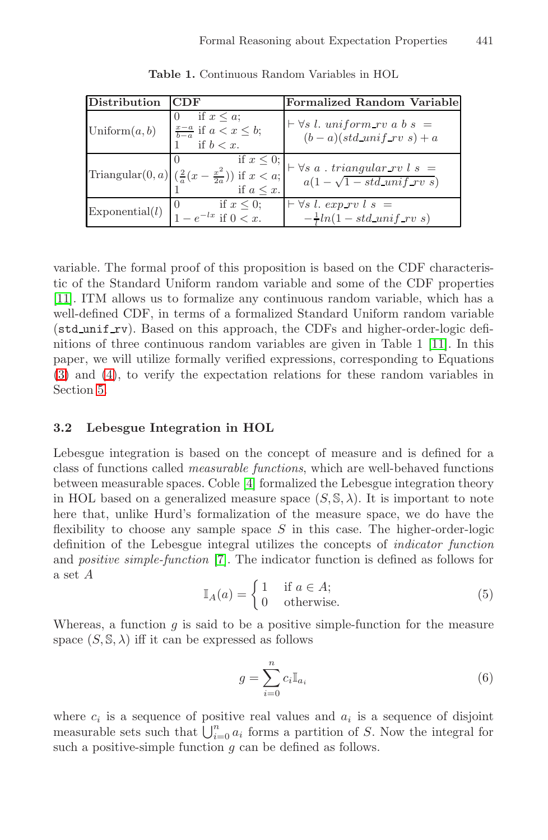| <b>Distribution</b> | <b>CDF</b>                                                                                                       | <b>Formalized Random Variable</b>                                                          |
|---------------------|------------------------------------------------------------------------------------------------------------------|--------------------------------------------------------------------------------------------|
| Uniform $(a, b)$    | if $x \leq a$ ;<br>$\frac{x-a}{b-a}$ if $a < x \leq b$ ;<br>if $b < x$ .                                         | $\vdash \forall s \ l. \ uniform_r v \ a \ b \ s =$<br>$(b-a)(std\text{ unit} rv s) + a$   |
|                     | if $x \leq 0$ ;<br>Triangular(0, a) $\left(\frac{2}{a}(x-\frac{x^2}{2a})\right)$ if $x < a$ ;<br>if $a \leq x$ . | $\ensuremath{\vdash}\forall s\ a$ . triangular_rv l s =<br>$a(1-\sqrt{1-std\_unif\_rv_s})$ |
| Exponential(l)      | if $x \leq 0$ ;<br>$\overline{0}$<br>$1 - e^{-lx}$ if $0 < x$ .                                                  | $\vdash \forall s \ l. \ exp\_r v \ l \ s =$<br>$-\frac{1}{l}ln(1-std\_unit\_rv s)$        |

**Table 1.** Continuous Random Variables in HOL

variable. The formal proof of this proposition is based on the CDF characteristic of the Standard Uniform random variable and some of the CDF properties [11]. ITM allows us to formalize any continuous random variable, which has a well-defined CDF, in terms of a formalized Standard Uniform random variable (std unif rv). Based on this approach, the CDFs and higher-order-logic definitions of three continuous random variables are given in Table 1 [11]. In this paper, we will [uti](#page-15-9)lize formally verified expressions, corresponding to Equations (3) and (4), to verify the expectation relations for these random variables in Section 5.

### **3.2 Lebesgue Integration in HOL**

Lebesgue [int](#page-15-6)egration is based on the concept of measure and is defined for a class of functions called *measurable functions*, which are well-behaved functions between measurable spaces. Coble [4] formalized the Lebesgue integration theory in HOL based on a generalized measure space  $(S, \mathbb{S}, \lambda)$ . It is important to note here that, unlike Hurd's formalization of the measure space, we do have the flexibility to choose any sample space  $S$  in this case. The higher-order-logic definition of the Lebesgue integral utilizes the concepts of *indicator function* and *positive simple-function* [7]. The indicator function is defined as follows for a set A

$$
\mathbb{I}_A(a) = \begin{cases} 1 & \text{if } a \in A; \\ 0 & \text{otherwise.} \end{cases}
$$
 (5)

Whereas, a function  $g$  is said to be a positive simple-function for the measure space  $(S, \mathbb{S}, \lambda)$  iff it can be expressed as follows

$$
g = \sum_{i=0}^{n} c_i \mathbb{I}_{a_i} \tag{6}
$$

where  $c_i$  is a sequence of positive real values and  $a_i$  is a sequence of disjoint measurable sets such that  $\bigcup_{i=0}^{n} a_i$  forms a partition of S. Now the integral for such a positive-simple function  $g$  can be defined as follows.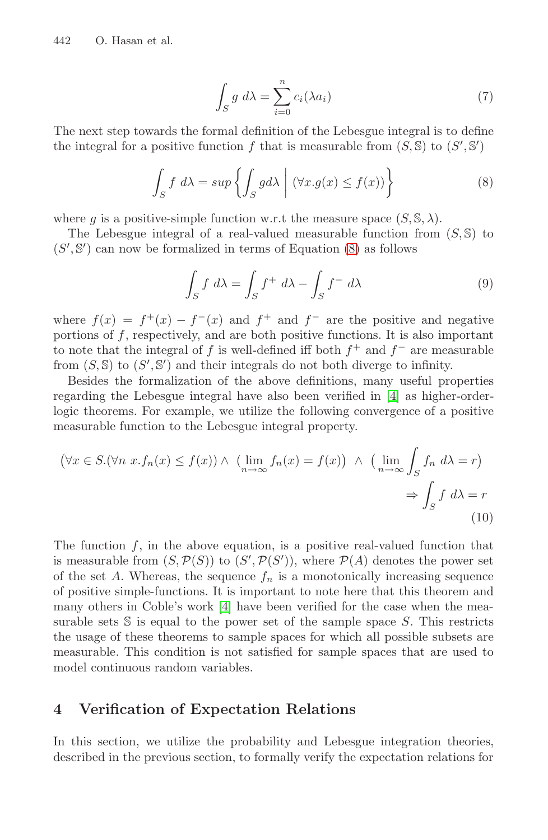<span id="page-7-1"></span><span id="page-7-0"></span>
$$
\int_{S} g \ d\lambda = \sum_{i=0}^{n} c_i(\lambda a_i) \tag{7}
$$

The next step towards the formal [de](#page-7-0)finition of the Lebesgue integral is to define the integral for a positive function f that is measurable from  $(S, \mathbb{S})$  to  $(S', \mathbb{S}')$ 

$$
\int_{S} f \ d\lambda = \sup \left\{ \int_{S} g d\lambda \mid (\forall x . g(x) \le f(x)) \right\} \tag{8}
$$

where q is a positive-simple function w.r.t the measure space  $(S, \mathbb{S}, \lambda)$ .

The Lebesgue integral of a real-valued measurable function from  $(S, \mathbb{S})$  to  $(S', S')$  can now be formalized in terms of Equation  $(8)$  as follows

<span id="page-7-2"></span>
$$
\int_{S} f \ d\lambda = \int_{S} f^{+} \ d\lambda - \int_{S} f^{-} \ d\lambda \tag{9}
$$

where  $f(x) = f^{+}(x) - f^{-}(x)$  and  $f^{+}$  and  $f^{-}$  are the positive and negative portions of  $f$ , respectively, and are both positive functions. It is also important to note that the integral of f is well-defined iff both  $f^+$  and  $f^-$  are measurable from  $(S, \mathbb{S})$  to  $(S', \mathbb{S}')$  and their integrals do not both diverge to infinity.

Besides the formalization of the above definitions, many useful properties regarding the Lebesgue integral have also been verified in [4] as higher-orderlogic theorems. For example, we utilize the following convergence of a positive measurable function to the Lebesgue integral property.

$$
(\forall x \in S. (\forall n \ x. f_n(x) \le f(x)) \land (\lim_{n \to \infty} f_n(x) = f(x)) \land (\lim_{n \to \infty} \int_S f_n d\lambda = r)
$$
  

$$
\Rightarrow \int_S f d\lambda = r
$$
\n(10)

The function  $f$ , in the above equation, is a positive real-valued function that is measurable from  $(S, \mathcal{P}(S))$  to  $(S', \mathcal{P}(S'))$ , where  $\mathcal{P}(A)$  denotes the power set of the set A. Whereas, the sequence  $f_n$  is a monotonically increasing sequence of positive simple-functions. It is important to note here that this theorem and many others in Coble's work [4] have been verified for the case when the measurable sets  $S$  is equal to the power set of the sample space  $S$ . This restricts the usage of these theorems to sample spaces for which all possible subsets are measurable. This condition is not satisfied for sample spaces that are used to model continuous random variables.

# **4 Verification of Expectation Relations**

In this section, we utilize the probability and Lebesgue integration theories, described in the previous section, to formally verify the expectation relations for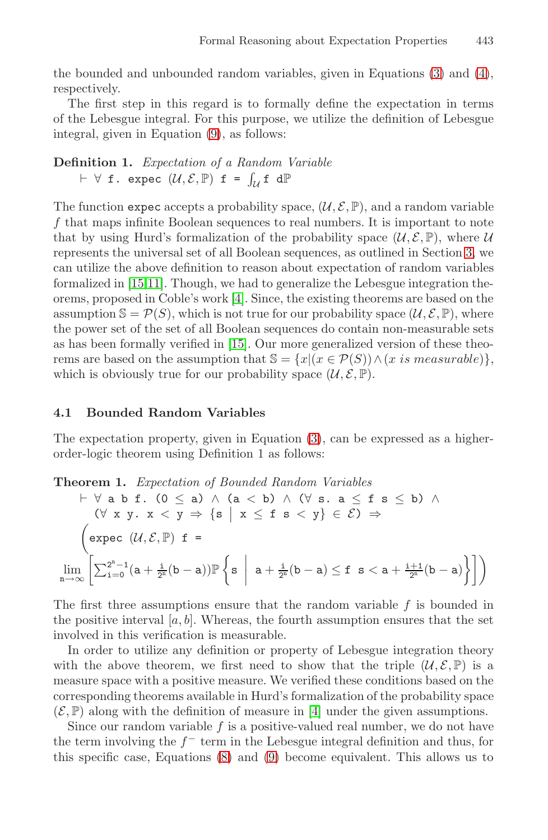the bounded and unbounded random variables, given in Equations (3) and (4), respectively.

The first step in this regard is to formally define the expectation in terms of the Lebesgue integral. For this purpose, we utilize the definition of Lebesgue integral, given in Equation (9), as follows:

**[D](#page-15-3)efinition 1.** *Expectation of a Random Variable*  $\vdash \forall$  f. [ex](#page-15-9)pec  $(\mathcal{U}, \mathcal{E}, \mathbb{P})$  f =  $\int_{\mathcal{U}} f d\mathbb{P}$ 

The function expec accepts a probability space,  $(\mathcal{U}, \mathcal{E}, \mathbb{P})$ , and a random variable f that maps [infi](#page-15-2)nite Boolean sequences to real numbers. It is important to note that by using Hurd's formalization of the probability space  $(\mathcal{U}, \mathcal{E}, \mathbb{P})$ , where  $\mathcal{U}$ represents the universal set of all Boolean sequences, as outlined in Section 3, we can utilize the above definition to reason about expectation of random variables formalized in [15,11]. Though, we had to generalize the Lebesgue integration theorems, proposed in Coble's work [4]. Since, the existing theorems are based on the assumption  $\mathbb{S} = \mathcal{P}(S)$ , which is not true for our probability space  $(\mathcal{U}, \mathcal{E}, \mathbb{P})$ , where the power set of the set of [all](#page-2-0) Boolean sequences do contain non-measurable sets as has been formally verified in [15]. Our more generalized version of these theorems are based on the assumption that  $\mathbb{S} = \{x | (x \in \mathcal{P}(S)) \wedge (x \text{ is measurable})\},\$ which is obviously true for our probability space  $(\mathcal{U}, \mathcal{E}, \mathbb{P})$ .

### **4.1 Bounded Random Variables**

The expectation property, given in Equation (3), can be expressed as a higherorder-logic theorem using Definition 1 as follows:

**Theorem 1.** *Expectation of Bounded Random Variables*

$$
\vdash \forall \text{ a b f. } (0 \leq a) \land (a < b) \land (\forall \text{ s. a} \leq f \text{ s} \leq b) \land
$$
  
\n
$$
(\forall \text{ x y. } x < y \Rightarrow \{\text{s} \mid x \leq f \text{ s} < y\} \in \mathcal{E}) \Rightarrow
$$
  
\n
$$
\left(\text{expec } (U, \mathcal{E}, \mathbb{P}) \text{ f } =
$$
  
\n
$$
\lim_{n \to \infty} \left[ \sum_{i=0}^{2^n - 1} (a + \frac{i}{2^n} (b - a)) \mathbb{P} \left\{ \text{s} \mid a + \frac{i}{2^n} (b - a) \leq f \text{ s} < a + \frac{i + 1}{2^n} (b - a) \right\} \right] \right)
$$

The fir[s](#page-15-9)t three assumptions ensure that the random variable  $f$  is bounded in the positive interval  $[a, b]$ . Whereas, the fourth assumption ensures that the set involved in [th](#page-7-0)is ver[ific](#page-7-1)ation is measurable.

In order to utilize any definition or property of Lebesgue integration theory with the above theorem, we first need to show that the triple  $(\mathcal{U}, \mathcal{E}, \mathbb{P})$  is a measure space with a positive measure. We verified these conditions based on the corresponding theorems available in Hurd's formalization of the probability space  $(\mathcal{E}, \mathbb{P})$  along with the definition of measure in [4] under the given assumptions.

Since our random variable  $f$  is a positive-valued real number, we do not have the term involving the  $f^-$  term in the Lebesgue integral definition and thus, for this specific case, Equations (8) and (9) become equivalent. This allows us to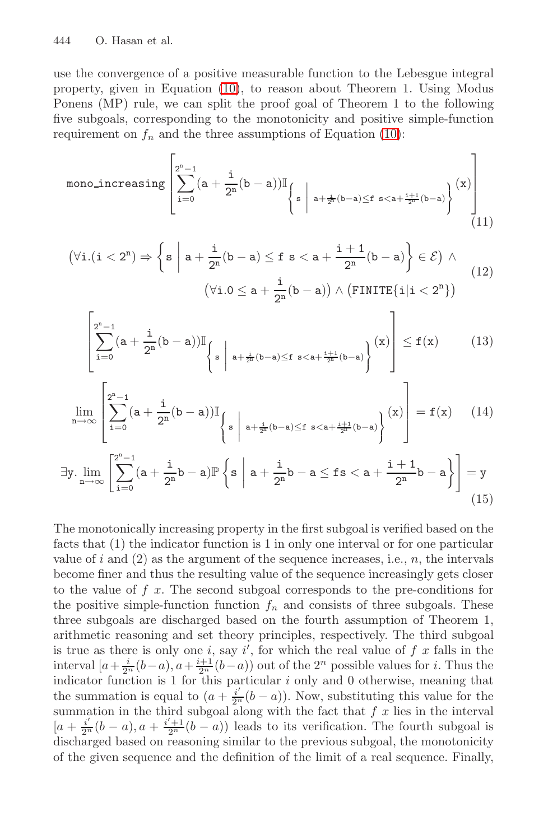use the convergence of a positive measurable function to the Lebesgue integral property, given in Equation (10), to reason about Theorem 1. Using Modus Ponens (MP) rule, we can split the proof goal of Theorem 1 to the following five subgoals, corresponding to the monotonicity and positive simple-function requirement on  $f_n$  and the three assumptions of Equation (10):

$$
\text{mono}\_\texttt{increasing}\left[\sum_{i=0}^{2^n-1}(a+\frac{i}{2^n}(b-a))\mathbb{I}_{\left\{\begin{array}{c} s \ \end{array} \Bigm| \begin{array}{c} a+\frac{i}{2^n}(b-a) \leq f \end{array} s
$$

$$
(\forall i.(i < 2^n) \Rightarrow \left\{ s \mid a + \frac{i}{2^n}(b - a) \le f \mid s < a + \frac{i + 1}{2^n}(b - a) \right\} \in \mathcal{E}) \land
$$
\n
$$
(\forall i. 0 \le a + \frac{i}{2^n}(b - a)) \land (FINITE\{i | i < 2^n\})
$$
\n
$$
\Box
$$
\n
$$
\Box
$$

$$
\left| \sum_{i=0}^{2^n - 1} (a + \frac{i}{2^n} (b - a)) \mathbb{I}_{\left\{ s \mid a + \frac{i}{2^n} (b - a) \le f \ s < a + \frac{i+1}{2^n} (b - a) \right\}} (x) \right| \le f(x) \tag{13}
$$

$$
\lim_{n \to \infty} \left[ \sum_{i=0}^{2^n - 1} (a + \frac{i}{2^n} (b - a)) \mathbb{I}_{\left\{ s \; \middle| \; a + \frac{i}{2^n} (b - a) \le f \; s < a + \frac{i + 1}{2^n} (b - a)} \right\}} (x) \right] = f(x) \tag{14}
$$

$$
\exists y. \lim_{n \to \infty} \left[ \sum_{i=0}^{2^n-1} (a + \frac{i}{2^n}b - a) \mathbb{P} \left\{ s \; \left| \; a + \frac{i}{2^n}b - a \leq fs < a + \frac{i+1}{2^n}b - a \right\} \right] = y \tag{15}
$$

The monotonically increasing property in the first subgoal is verified based on the facts that (1) the indicator function is 1 in only one interval or for one particular value of i and  $(2)$  as the argument of the sequence increases, i.e., n, the intervals become finer and thus the resulting value of the sequence increasingly gets closer to the value of  $f(x)$ . The second subgoal corresponds to the pre-conditions for the positive simple-function function  $f_n$  and consists of three subgoals. These three subgoals are discharged based on the fourth assumption of Theorem 1, arithmetic reasoning and set theory principles, respectively. The third subgoal is true as there is only one i, say i', for which the real value of  $f$  x falls in the interval  $[a + \frac{i}{2^n}(b-a), a + \frac{i+1}{2^n}(b-a))$  out of the 2<sup>n</sup> possible values for *i*. Thus the indicator function is 1 for this particular i only and 0 otherwise, meaning that the summation is equal to  $(a + \frac{i'}{2^n}(b - a))$ . Now, substituting this value for the summation in the third subgoal along with the fact that  $f(x)$  lies in the interval  $[a + \frac{i'}{2^n}(b-a), a + \frac{i'+1}{2^n}(b-a)]$  leads to its verification. The fourth subgoal is discharged based on reasoning similar to the previous subgoal, the monotonicity of the given sequence and the definition of the limit of a real sequence. Finally,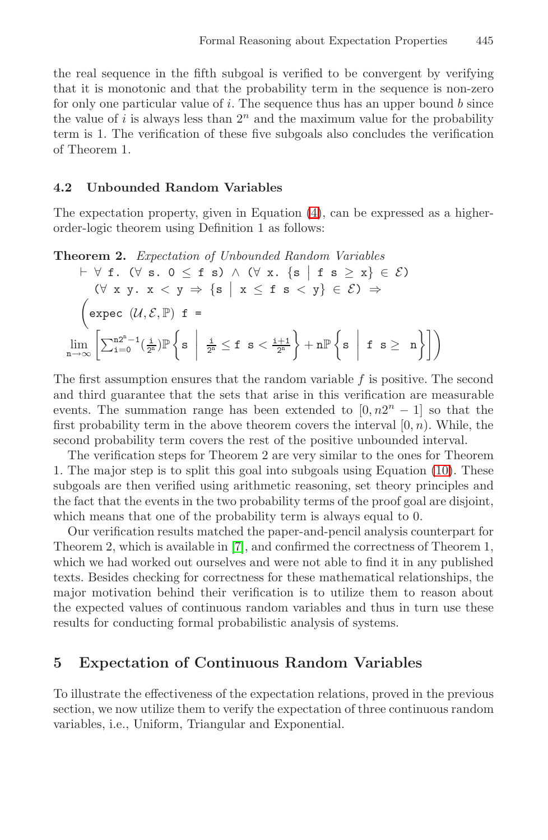the real sequence in the fifth subgoal is verified to be convergent by verifying that it is monotonic and t[ha](#page-2-1)t the probability term in the sequence is non-zero for only one particular value of  $i$ . The sequence thus has an upper bound  $b$  since the value of i is always less than  $2^n$  and the maximum value for the probability term is 1. The verification of these five subgoals also concludes the verification of Theorem 1.

### **4.2 Unbounded Random Variables**

The expectation property, given in Equation (4), can be expressed as a higherorder-logic theorem using Definition 1 as follows:

**Theorem 2.** *Expectation of Unbounded Random Variables*

$$
\vdash \forall \ f. \ (\forall \ s. \ 0 \leq f \ s) \land (\forall \ x. \ \{s \mid f \ s \geq x\} \in \mathcal{E})
$$
\n
$$
(\forall \ x \ y. \ x < y \Rightarrow \{s \mid x \leq f \ s < y\} \in \mathcal{E}) \Rightarrow
$$
\n
$$
\left(\text{expec } (\mathcal{U}, \mathcal{E}, \mathbb{P}) \ f =
$$
\n
$$
\lim_{n \to \infty} \left[ \sum_{i=0}^{n2^{n}-1} \left( \frac{i}{2^{n}} \right) \mathbb{P} \left\{ s \mid \frac{i}{2^{n}} \leq f \ s < \frac{i+1}{2^{n}} \right\} + n \mathbb{P} \left\{ s \mid f \ s \geq \ n \right\} \right] \right)
$$

The first assumption ensures that the random variable  $f$  is positive. The second and third guarantee that the sets that arise in this verification are measurable events. The summation range has been extended to  $[0, n2^n - 1]$  so that the first probabil[ity](#page-15-6) term in the above theorem covers the interval  $[0, n)$ . While, the second probability term covers the rest of the positive unbounded interval.

The verification steps for Theorem 2 are very similar to the ones for Theorem 1. The major step is to split this goal into subgoals using Equation (10). These subgoals are then verified using arithmetic reasoning, set theory principles and the fact that the events in the two probability terms of the proof goal are disjoint, which means that one of the probability term is always equal to 0.

Our verification results matched the paper-and-pencil analysis counterpart for Theorem 2, which is available in [7], and confirmed the correctness of Theorem 1, which we had worked out ourselves and were not able to find it in any published texts. Besides checking for correctness for these mathematical relationships, the major motivation behind their verification is to utilize them to reason about the expected values of continuous random variables and thus in turn use these results for conducting formal probabilistic analysis of systems.

## **5 Expectation of Continuous Random Variables**

To illustrate the effectiveness of the expectation relations, proved in the previous section, we now utilize them to verify the expectation of three continuous random variables, i.e., Uniform, Triangular and Exponential.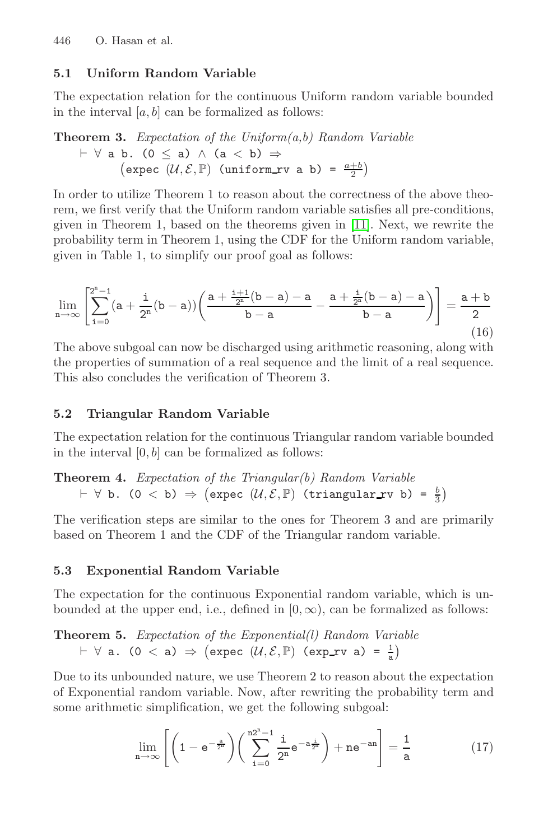### **5.1 Uniform Random Variable**

The expectation relation for the continuous Uniform random variable bounded in the interval  $[a, b]$  can be formali[zed](#page-15-3) as follows:

**Theorem 3.** *Expectation of the Uniform(a,b) Random Variable*

 $\vdash \forall$  a b. (0  $\leq$  a) ∧ (a  $<$  b)  $\Rightarrow$ (expec  $(\mathcal{U}, \mathcal{E}, \mathbb{P})$  (uniform rv a b) =  $\frac{a+b}{2}$ )

In order to utilize Theorem 1 to reason about the correctness of the above theorem, we first verify that the Uniform random variable satisfies all pre-conditions, given in Theorem 1, based on the theorems given in [11]. Next, we rewrite the probability term in Theorem 1, using the CDF for the Uniform random variable, given in Table 1, to simplify our proof goal as follows:

$$
\lim_{n \to \infty} \left[ \sum_{i=0}^{2^n - 1} (a + \frac{i}{2^n} (b-a)) \bigg( \frac{a + \frac{i+1}{2^n} (b-a) - a}{b-a} - \frac{a + \frac{i}{2^n} (b-a) - a}{b-a} \bigg) \right] = \frac{a+b}{2} \hspace{10mm} (16)
$$

The above subgoal can now be discharged using arithmetic reasoning, along with the properties of summation of a real sequence and the limit of a real sequence. This also concludes the verification of Theorem 3.

### **5.2 Triangular Random Variable**

The expectation relation for the continuous Triangular random variable bounded in the interval  $[0, b]$  can be formalized as follows:

**Theorem 4.** *Expectation of the Triangular(b) Random Variable*  $\vdash \forall$  b. (0 < b)  $\Rightarrow$   $\big(\text{expec } (\mathcal{U}, \mathcal{E}, \mathbb{P})$  (triangular\_rv b) =  $\frac{b}{3}$ )

The verification steps are similar to the ones for Theorem 3 and are primarily based on Theorem 1 and the CDF of the Triangular random variable.

### **5.3 Exponential Random Variable**

The expectation for the continuous Exponential random variable, which is unbounded at the upper end, i.e., defined in  $[0, \infty)$ , can be formalized as follows:

**Theorem 5.** *Expectation of the Exponential(l) Random Variable*  $\vdash \forall$  a. (0 < a)  $\Rightarrow$  (expec  $(\mathcal{U}, \mathcal{E}, \mathbb{P})$  (exp\_rv a) =  $\frac{1}{a}$ )

Due to its unbounded nature, we use Theorem 2 to reason about the expectation of Exponential random variable. Now, after rewriting the probability term and some arithmetic simplification, we get the following subgoal:

$$
\lim_{n \to \infty} \left[ \left( 1 - e^{-\frac{a}{2^n}} \right) \left( \sum_{i=0}^{n2^n - 1} \frac{i}{2^n} e^{-a \frac{i}{2^n}} \right) + n e^{-an} \right] = \frac{1}{a} \tag{17}
$$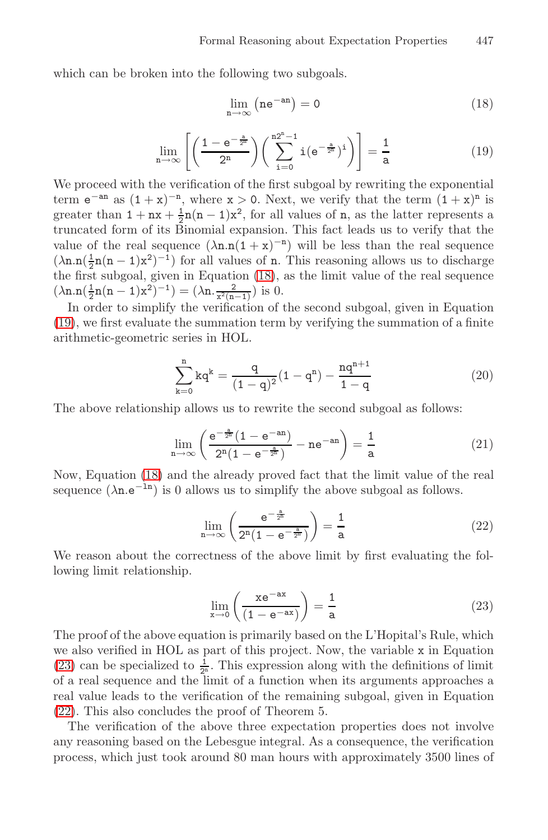<span id="page-12-0"></span>which can be broken into the following two subgoals.

$$
\lim_{n \to \infty} (ne^{-an}) = 0 \tag{18}
$$

$$
\lim_{n \to \infty} \left[ \left( \frac{1 - e^{-\frac{a}{2^n}}}{2^n} \right) \left( \sum_{i=0}^{n2^n - 1} i \left( e^{-\frac{a}{2^n}} \right)^i \right) \right] = \frac{1}{a} \tag{19}
$$

We proceed with the verification of the first subgoal by rewriting the exponential term  $e^{-an}$  as  $(1+x)^{-n}$ , where  $x > 0$ . Next, we verify that the term  $(1+x)^n$  is greater than  $1 + nx + \frac{1}{2}n(n-1)x^2$ , for all values of n, as the latter represents a truncated form of its Binomial expansion. This fact leads us to verify that the value of the real sequence  $(\lambda n.n(1 + x)^{-n})$  will be less than the real sequence  $(\lambda n.n(\frac{1}{2}n(n-1)x^2)^{-1})$  for all values of n. This reasoning allows us to discharge the first subgoal, given in Equation (18), as the limit value of the real sequence  $(\lambda n.n(\frac{1}{2}n(n-1)x^2)^{-1}) = (\lambda n.\frac{2}{x^2(n-1)})$  is 0.

In order to simplify the verification of the second subgoal, given in Equation (19), we first evaluate the summation term by verifying the summation of a finite arithmetic-geometric series in HOL.

$$
\sum_{k=0}^{n} kq^{k} = \frac{q}{(1-q)^{2}}(1-q^{n}) - \frac{nq^{n+1}}{1-q}
$$
\n(20)

The above relationship allows us to rewrite the second subgoal as follows:

$$
\lim_{n \to \infty} \left( \frac{e^{-\frac{a}{2^n} \left( 1 - e^{-an} \right)}}{2^n \left( 1 - e^{-\frac{a}{2^n} \right)}} - n e^{-an} \right) = \frac{1}{a} \tag{21}
$$

Now, Equation (18) and the already proved fact that the limit value of the real sequence  $(\lambda n.e^{-n})$  is 0 allows us to simplify the above subgoal as follows.

$$
\lim_{n \to \infty} \left( \frac{e^{-\frac{a}{2^n}}}{2^n (1 - e^{-\frac{a}{2^n}})} \right) = \frac{1}{a}
$$
\n(22)

We reason about the correctness of the above limit by first evaluating the following limit relationship.

$$
\lim_{x \to 0} \left( \frac{xe^{-ax}}{(1 - e^{-ax})} \right) = \frac{1}{a} \tag{23}
$$

The proof of the above equation is primarily based on the L'Hopital's Rule, which we also verified in HOL as part of this project. Now, the variable x in Equation (23) can be specialized to  $\frac{1}{2^n}$ . This expression along with the definitions of limit of a real sequence and the limit of a function when its arguments approaches a real value leads to the verification of the remaining subgoal, given in Equation (22). This also concludes the proof of Theorem 5.

The verification of the above three expectation properties does not involve any reasoning based on the Lebesgue integral. As a consequence, the verification process, which just took around 80 man hours with approximately 3500 lines of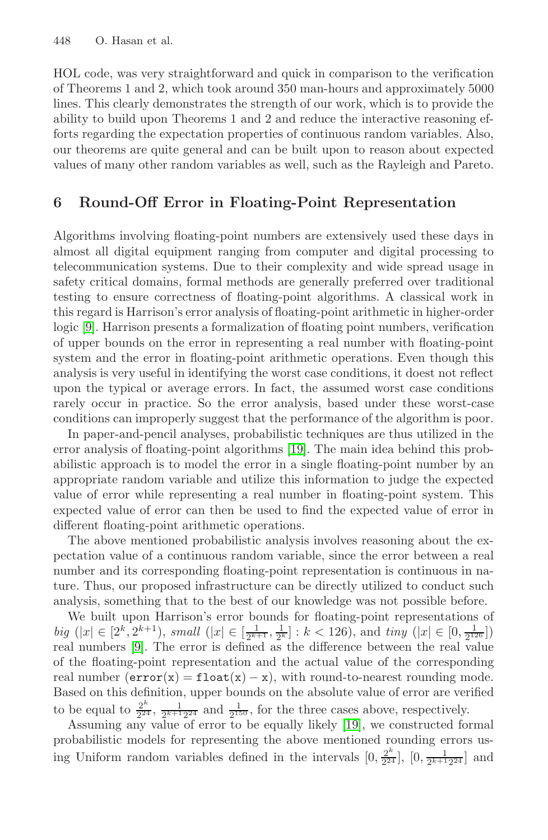HOL code, was very straightforward and quick in comparison to the verification of Theorems 1 and 2, which took around 350 man-hours and approximately 5000 lines. This clearly demonstrates the strength of our work, which is to provide the ability to build upon Theorems 1 and 2 and reduce the interactive reasoning efforts regarding the expectation properties of continuous random variables. Also, our theorems are quite general and can be built upon to reason about expected values of many other random variables as well, such as the Rayleigh and Pareto.

# **6 Round-Off Error in Floating-Point Representation**

Algorithms involving floating-point numbers are extensively used these days in almost all digital equipment ranging from computer and digital processing to telecommunication systems. Due to their complexity and wide spread usage in safety critical domains, formal methods are generally preferred over traditional testing to ensure correctness of floating-point algorithms. A classical work in this regard is Harrison's error analysis of floating-point arithmetic in higher-order logic [9]. Harrison prese[nts](#page-15-4) a formalization of floating point numbers, verification of upper bounds on the error in representing a real number with floating-point system and the error in floating-point arithmetic operations. Even though this analysis is very useful in identifying the worst case conditions, it doest not reflect upon the typical or average errors. In fact, the assumed worst case conditions rarely occur in practice. So the error analysis, based under these worst-case conditions can improperly suggest that the performance of the algorithm is poor.

In paper-and-pencil analyses, probabilistic techniques are thus utilized in the error analysis of floating-point algorithms [19]. The main idea behind this probabilistic approach is to model the error in a single floating-point number by an appropriate random variable and utilize this information to judge the expected value of error while representing a real number in floating-point system. This expected value of error can then be used to find the expected value of error in different floating-point arithmetic operations.

The above mentioned probabilistic analysis involves reasoning about the expectation value of a continuous random variable, since the error between a real number and its corresponding floating-point representation is continuous in nature. Thus, our proposed infrastructure can be directly utilized to conduct such analysis, something that to the b[est](#page-15-4) of our knowledge was not possible before.

We built upon Harrison's error bounds for floating-point representations of *big*  $(|x| \in [2^k, 2^{k+1})$ , *small*  $(|x| \in [\frac{1}{2^{k+1}}, \frac{1}{2^k}] : k < 126)$ , and *tiny*  $(|x| \in [0, \frac{1}{2^{126}}])$ real numbers [9]. The error is defined as the difference between the real value of the floating-point representation and the actual value of the corresponding real number  $(\text{error}(x) = \text{float}(x) - x)$ , with round-to-nearest rounding mode. Based on this definition, upper bounds on the absolute value of error are verified to be equal to  $\frac{2^k}{2^{24}}$ ,  $\frac{1}{2^{k+1}2^{24}}$  and  $\frac{1}{2^{150}}$ , for the three cases above, respectively.

Assuming any value of error to be equally likely [19], we constructed formal probabilistic models for representing the above mentioned rounding errors using Uniform random variables defined in the intervals  $[0, \frac{2^k}{2^{24}}]$ ,  $[0, \frac{1}{2^{k+1}2^{24}}]$  and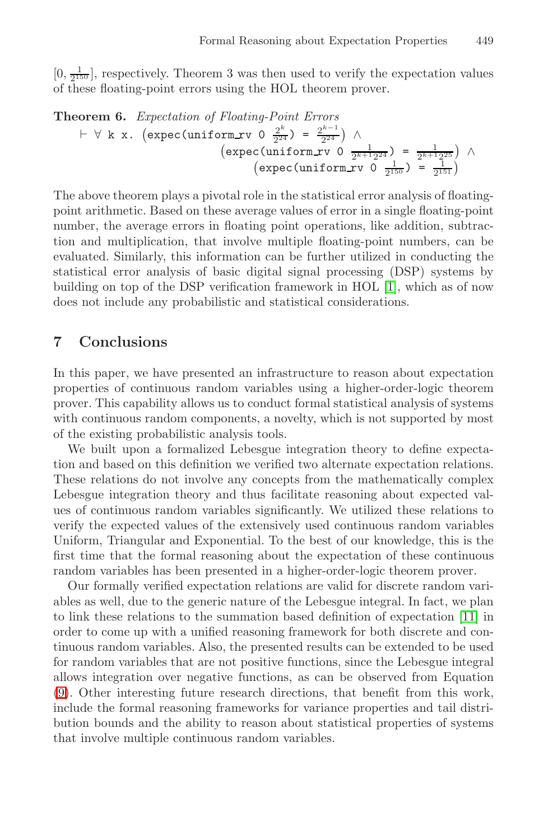$[0, \frac{1}{2^{150}}]$ , respectively. Theorem 3 was then used to verify the expectation values of these floating-point errors using the HOL theorem prover.

**Theorem 6.** *Expectation of Floating-Point Errors*  $\vdash$  ∀ k x. (expec(uniform\_rv 0  $\frac{2^k}{2^{24}}$ ) =  $\frac{2^{k-1}}{2^{24}}$ ) ∧  $\left(\text{expect}(\text{uniform rv 0 }\frac{1}{2^{k+1}2^{24}}\right) = \frac{1}{2^{k+1}2^{25}}\right) \wedge$  $\left(\text{expect}(\text{uniform\_rv 0 }\frac{1}{2^{150}})\right) = \frac{1}{2^{151}}\right)$  $\left(\text{expect}(\text{uniform\_rv 0 }\frac{1}{2^{150}})\right) = \frac{1}{2^{151}}\right)$  $\left(\text{expect}(\text{uniform\_rv 0 }\frac{1}{2^{150}})\right) = \frac{1}{2^{151}}\right)$ 

<span id="page-14-0"></span>The above theorem plays a pivotal role in the statistical error analysis of floatingpoint arithmetic. Based on these average values of error in a single floating-point number, the average errors in floating point operations, like addition, subtraction and multiplication, that involve multiple floating-point numbers, can be evaluated. Similarly, this information can be further utilized in conducting the statistical error analysis of basic digital signal processing (DSP) systems by building on top of the DSP verification framework in HOL [1], which as of now does not include any probabilistic and statistical considerations.

# **7 Conclusions**

In this paper, we have presented an infrastructure to reason about expectation properties of continuous random variables using a higher-order-logic theorem prover. This capability allows us to conduct formal statistical analysis of systems with continuous random components, a novelty, which is not supported by most of the existing probabilistic analysis tools.

We built upon a formalized Lebesgue integration theory to define expectation and based on this definition we verified two alternate expectation relations. These relations do not involve any concepts from the mathematically complex Lebesgue integration theory and thus facilitate reaso[ning](#page-15-3) about expected values of continuous random variables significantly. We utilized these relations to verify the expected values of the extensively used continuous random variables Uniform, Triangular and Exponential. To the best of our knowledge, this is the first time that the formal reasoning about the expectation of these continuous random variables has been presented in a higher-order-logic theorem prover.

Our formally verified expectation relations are valid for discrete random variables as well, due to the generic nature of the Lebesgue integral. In fact, we plan to link these relations to the summation based definition of expectation [11] in order to come up with a unified reasoning framework for both discrete and continuous random variables. Also, the presented results can be extended to be used for random variables that are not positive functions, since the Lebesgue integral allows integration over negative functions, as can be observed from Equation (9). Other interesting future research directions, that benefit from this work, include the formal reasoning frameworks for variance properties and tail distribution bounds and the ability to reason about statistical properties of systems that involve multiple continuous random variables.